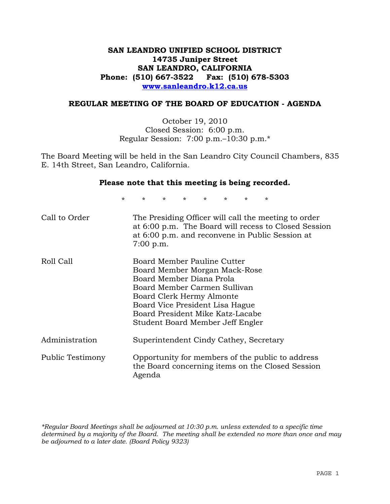## **SAN LEANDRO UNIFIED SCHOOL DISTRICT 14735 Juniper Street SAN LEANDRO, CALIFORNIA Phone: (510) 667-3522 Fax: (510) 678-5303 www.sanleandro.k12.ca.us**

### **REGULAR MEETING OF THE BOARD OF EDUCATION - AGENDA**

October 19, 2010 Closed Session: 6:00 p.m. Regular Session: 7:00 p.m.–10:30 p.m.\*

The Board Meeting will be held in the San Leandro City Council Chambers, 835 E. 14th Street, San Leandro, California.

#### **Please note that this meeting is being recorded.**

\* \* \* \* \* \* \* \*

| Call to Order    | The Presiding Officer will call the meeting to order<br>at 6:00 p.m. The Board will recess to Closed Session<br>at 6:00 p.m. and reconvene in Public Session at<br>$7:00$ p.m.                                                                                   |
|------------------|------------------------------------------------------------------------------------------------------------------------------------------------------------------------------------------------------------------------------------------------------------------|
| Roll Call        | Board Member Pauline Cutter<br>Board Member Morgan Mack-Rose<br>Board Member Diana Prola<br>Board Member Carmen Sullivan<br>Board Clerk Hermy Almonte<br>Board Vice President Lisa Hague<br>Board President Mike Katz-Lacabe<br>Student Board Member Jeff Engler |
| Administration   | Superintendent Cindy Cathey, Secretary                                                                                                                                                                                                                           |
| Public Testimony | Opportunity for members of the public to address<br>the Board concerning items on the Closed Session<br>Agenda                                                                                                                                                   |

*\*Regular Board Meetings shall be adjourned at 10:30 p.m. unless extended to a specific time determined by a majority of the Board. The meeting shall be extended no more than once and may be adjourned to a later date. (Board Policy 9323)*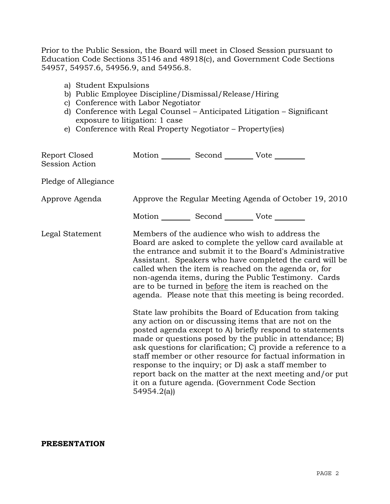Prior to the Public Session, the Board will meet in Closed Session pursuant to Education Code Sections 35146 and 48918(c), and Government Code Sections 54957, 54957.6, 54956.9, and 54956.8.

- a) Student Expulsions
- b) Public Employee Discipline/Dismissal/Release/Hiring
- c) Conference with Labor Negotiator
- d) Conference with Legal Counsel Anticipated Litigation Significant exposure to litigation: 1 case
- e) Conference with Real Property Negotiator Property(ies)

| Report Closed<br><b>Session Action</b> | Motion __________ Second __________ Vote ________ |                                                                                                                                                                                                                                                                                                                                                                                                                                                                                                                                                                                                                                                                                                                                                                                                                                                                                                                                                                                                                        |
|----------------------------------------|---------------------------------------------------|------------------------------------------------------------------------------------------------------------------------------------------------------------------------------------------------------------------------------------------------------------------------------------------------------------------------------------------------------------------------------------------------------------------------------------------------------------------------------------------------------------------------------------------------------------------------------------------------------------------------------------------------------------------------------------------------------------------------------------------------------------------------------------------------------------------------------------------------------------------------------------------------------------------------------------------------------------------------------------------------------------------------|
| Pledge of Allegiance                   |                                                   |                                                                                                                                                                                                                                                                                                                                                                                                                                                                                                                                                                                                                                                                                                                                                                                                                                                                                                                                                                                                                        |
| Approve Agenda                         |                                                   | Approve the Regular Meeting Agenda of October 19, 2010                                                                                                                                                                                                                                                                                                                                                                                                                                                                                                                                                                                                                                                                                                                                                                                                                                                                                                                                                                 |
|                                        | Motion __________ Second __________ Vote ________ |                                                                                                                                                                                                                                                                                                                                                                                                                                                                                                                                                                                                                                                                                                                                                                                                                                                                                                                                                                                                                        |
| Legal Statement                        | 54954.2(a)                                        | Members of the audience who wish to address the<br>Board are asked to complete the yellow card available at<br>the entrance and submit it to the Board's Administrative<br>Assistant. Speakers who have completed the card will be<br>called when the item is reached on the agenda or, for<br>non-agenda items, during the Public Testimony. Cards<br>are to be turned in before the item is reached on the<br>agenda. Please note that this meeting is being recorded.<br>State law prohibits the Board of Education from taking<br>any action on or discussing items that are not on the<br>posted agenda except to A) briefly respond to statements<br>made or questions posed by the public in attendance; B)<br>ask questions for clarification; C) provide a reference to a<br>staff member or other resource for factual information in<br>response to the inquiry; or D) ask a staff member to<br>report back on the matter at the next meeting and/or put<br>it on a future agenda. (Government Code Section |

#### **PRESENTATION**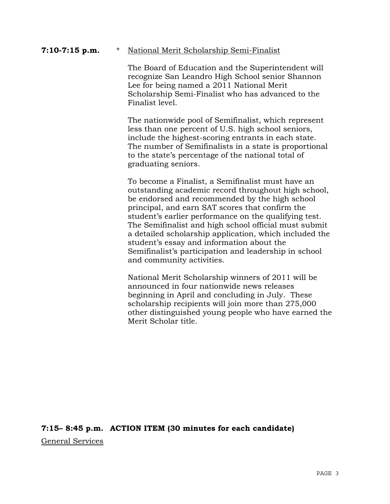#### **7:10-7:15 p.m.** \* National Merit Scholarship Semi-Finalist

 The Board of Education and the Superintendent will recognize San Leandro High School senior Shannon Lee for being named a 2011 National Merit Scholarship Semi-Finalist who has advanced to the Finalist level.

 The nationwide pool of Semifinalist, which represent less than one percent of U.S. high school seniors, include the highest-scoring entrants in each state. The number of Semifinalists in a state is proportional to the state's percentage of the national total of graduating seniors.

 To become a Finalist, a Semifinalist must have an outstanding academic record throughout high school, be endorsed and recommended by the high school principal, and earn SAT scores that confirm the student's earlier performance on the qualifying test. The Semifinalist and high school official must submit a detailed scholarship application, which included the student's essay and information about the Semifinalist's participation and leadership in school and community activities.

 National Merit Scholarship winners of 2011 will be announced in four nationwide news releases beginning in April and concluding in July. These scholarship recipients will join more than 275,000 other distinguished young people who have earned the Merit Scholar title.

**7:15– 8:45 p.m. ACTION ITEM (30 minutes for each candidate)**  General Services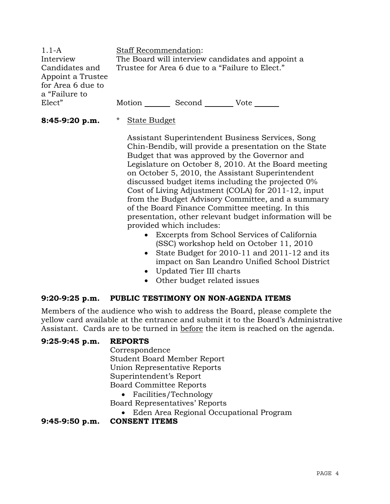1.1-A Interview Candidates and Appoint a Trustee for Area 6 due to a "Failure to Elect" Staff Recommendation: The Board will interview candidates and appoint a Trustee for Area 6 due to a "Failure to Elect." Motion Second Vote

- **8:45-9:20 p.m.** \* State Budget
- 

 Assistant Superintendent Business Services, Song Chin-Bendib, will provide a presentation on the State Budget that was approved by the Governor and Legislature on October 8, 2010. At the Board meeting on October 5, 2010, the Assistant Superintendent discussed budget items including the projected 0% Cost of Living Adjustment (COLA) for 2011-12, input from the Budget Advisory Committee, and a summary of the Board Finance Committee meeting. In this presentation, other relevant budget information will be provided which includes:

- Excerpts from School Services of California (SSC) workshop held on October 11, 2010
- State Budget for 2010-11 and 2011-12 and its impact on San Leandro Unified School District
- Updated Tier III charts
- Other budget related issues

## **9:20-9:25 p.m. PUBLIC TESTIMONY ON NON-AGENDA ITEMS**

Members of the audience who wish to address the Board, please complete the yellow card available at the entrance and submit it to the Board's Administrative Assistant. Cards are to be turned in before the item is reached on the agenda.

## **9:25-9:45 p.m. REPORTS**

 Correspondence Student Board Member Report Union Representative Reports Superintendent's Report Board Committee Reports

• Facilities/Technology Board Representatives' Reports

Eden Area Regional Occupational Program

**9:45-9:50 p.m. CONSENT ITEMS**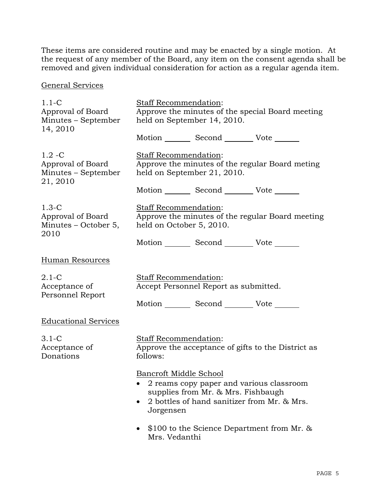These items are considered routine and may be enacted by a single motion. At the request of any member of the Board, any item on the consent agenda shall be removed and given individual consideration for action as a regular agenda item.

General Services

| $1.1-C$<br>Approval of Board<br>Minutes - September<br>14, 2010   | Staff Recommendation:<br>Approve the minutes of the special Board meeting<br>held on September 14, 2010.                                                             |  |
|-------------------------------------------------------------------|----------------------------------------------------------------------------------------------------------------------------------------------------------------------|--|
|                                                                   | Motion _________ Second __________ Vote _______                                                                                                                      |  |
| $1.2 - C$<br>Approval of Board<br>Minutes – September<br>21, 2010 | Staff Recommendation:<br>Approve the minutes of the regular Board meting<br>held on September 21, 2010.                                                              |  |
|                                                                   | Motion _________ Second __________ Vote _______                                                                                                                      |  |
| $1.3-C$<br>Approval of Board<br>Minutes – October 5,<br>2010      | Staff Recommendation:<br>Approve the minutes of the regular Board meeting<br>held on October 5, 2010.                                                                |  |
|                                                                   | Motion _________ Second __________ Vote _______                                                                                                                      |  |
| Human Resources                                                   |                                                                                                                                                                      |  |
| $2.1-C$<br>Acceptance of                                          | Staff Recommendation:<br>Accept Personnel Report as submitted.                                                                                                       |  |
| Personnel Report                                                  | Motion _________ Second __________ Vote _______                                                                                                                      |  |
| <b>Educational Services</b>                                       |                                                                                                                                                                      |  |
| $3.1-C$<br>Acceptance of<br>Donations                             | Staff Recommendation:<br>Approve the acceptance of gifts to the District as<br>follows:                                                                              |  |
|                                                                   | Bancroft Middle School<br>2 reams copy paper and various classroom<br>supplies from Mr. & Mrs. Fishbaugh<br>2 bottles of hand sanitizer from Mr. & Mrs.<br>Jorgensen |  |
|                                                                   | \$100 to the Science Department from Mr. &<br>Mrs. Vedanthi                                                                                                          |  |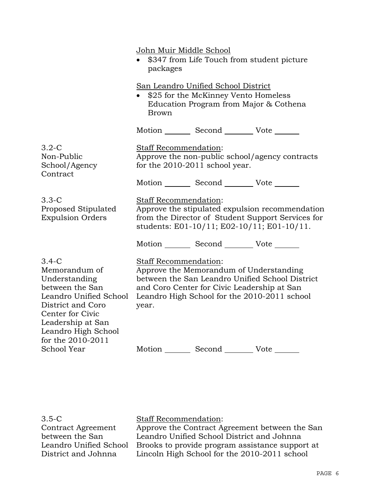|                                                                                                                                                                                                  | John Muir Middle School<br>\$347 from Life Touch from student picture<br>packages                                                                                           |                                                                                                                                        |                                                 |
|--------------------------------------------------------------------------------------------------------------------------------------------------------------------------------------------------|-----------------------------------------------------------------------------------------------------------------------------------------------------------------------------|----------------------------------------------------------------------------------------------------------------------------------------|-------------------------------------------------|
|                                                                                                                                                                                                  | <b>Brown</b>                                                                                                                                                                | San Leandro Unified School District<br>• \$25 for the McKinney Vento Homeless<br>Education Program from Major & Cothena                |                                                 |
|                                                                                                                                                                                                  |                                                                                                                                                                             | Motion _________ Second __________ Vote _______                                                                                        |                                                 |
| $3.2-C$<br>Non-Public<br>School/Agency<br>Contract                                                                                                                                               | Staff Recommendation:                                                                                                                                                       | for the 2010-2011 school year.                                                                                                         | Approve the non-public school/agency contracts  |
|                                                                                                                                                                                                  |                                                                                                                                                                             | Motion Second Vote                                                                                                                     |                                                 |
| $3.3-C$<br>Proposed Stipulated<br><b>Expulsion Orders</b>                                                                                                                                        | Staff Recommendation:<br>Approve the stipulated expulsion recommendation<br>from the Director of Student Support Services for<br>students: E01-10/11; E02-10/11; E01-10/11. |                                                                                                                                        |                                                 |
|                                                                                                                                                                                                  |                                                                                                                                                                             | Motion _________ Second __________ Vote _______                                                                                        |                                                 |
| $3.4-C$<br>Memorandum of<br>Understanding<br>between the San<br>Leandro Unified School<br>District and Coro<br>Center for Civic<br>Leadership at San<br>Leandro High School<br>for the 2010-2011 | Staff Recommendation:<br>year.                                                                                                                                              | Approve the Memorandum of Understanding<br>and Coro Center for Civic Leadership at San<br>Leandro High School for the 2010-2011 school | between the San Leandro Unified School District |
| School Year                                                                                                                                                                                      |                                                                                                                                                                             | Motion Second Vote                                                                                                                     |                                                 |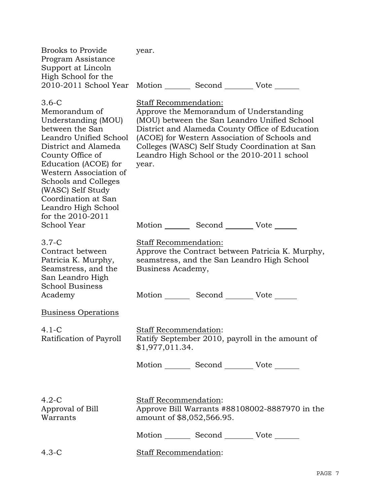| <b>Brooks to Provide</b><br>Program Assistance<br>Support at Lincoln                                                                                                                                                                                                                                              | year.                                              |                                                                                                                                         |                                                                                                                                                   |
|-------------------------------------------------------------------------------------------------------------------------------------------------------------------------------------------------------------------------------------------------------------------------------------------------------------------|----------------------------------------------------|-----------------------------------------------------------------------------------------------------------------------------------------|---------------------------------------------------------------------------------------------------------------------------------------------------|
| High School for the<br>2010-2011 School Year                                                                                                                                                                                                                                                                      |                                                    | Motion _________ Second __________ Vote _______                                                                                         |                                                                                                                                                   |
| $3.6-C$<br>Memorandum of<br>Understanding (MOU)<br>between the San<br>Leandro Unified School<br>District and Alameda<br>County Office of<br>Education (ACOE) for<br>Western Association of<br><b>Schools and Colleges</b><br>(WASC) Self Study<br>Coordination at San<br>Leandro High School<br>for the 2010-2011 | Staff Recommendation:<br>year.                     | Approve the Memorandum of Understanding<br>(ACOE) for Western Association of Schools and<br>Leandro High School or the 2010-2011 school | (MOU) between the San Leandro Unified School<br>District and Alameda County Office of Education<br>Colleges (WASC) Self Study Coordination at San |
| <b>School Year</b>                                                                                                                                                                                                                                                                                                |                                                    | Motion _________ Second __________ Vote _______                                                                                         |                                                                                                                                                   |
| $3.7-C$<br>Contract between<br>Patricia K. Murphy,<br>Seamstress, and the<br>San Leandro High<br><b>School Business</b><br>Academy                                                                                                                                                                                | <b>Staff Recommendation:</b><br>Business Academy,  | seamstress, and the San Leandro High School<br>Motion _________ Second _________ Vote ______                                            | Approve the Contract between Patricia K. Murphy,                                                                                                  |
| <b>Business Operations</b>                                                                                                                                                                                                                                                                                        |                                                    |                                                                                                                                         |                                                                                                                                                   |
| $4.1 - C$<br>Ratification of Payroll                                                                                                                                                                                                                                                                              | Staff Recommendation:<br>\$1,977,011.34.           |                                                                                                                                         | Ratify September 2010, payroll in the amount of                                                                                                   |
|                                                                                                                                                                                                                                                                                                                   |                                                    | Motion _________ Second __________ Vote _______                                                                                         |                                                                                                                                                   |
| $4.2-C$<br>Approval of Bill<br>Warrants                                                                                                                                                                                                                                                                           | Staff Recommendation:<br>amount of \$8,052,566.95. |                                                                                                                                         | Approve Bill Warrants #88108002-8887970 in the                                                                                                    |
|                                                                                                                                                                                                                                                                                                                   |                                                    | Motion _________ Second __________ Vote _______                                                                                         |                                                                                                                                                   |
| $4.3-C$                                                                                                                                                                                                                                                                                                           | <b>Staff Recommendation:</b>                       |                                                                                                                                         |                                                                                                                                                   |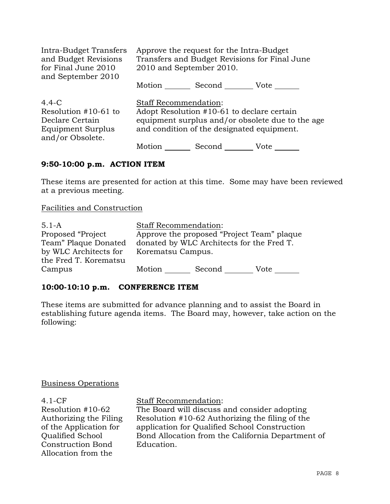| Intra-Budget Transfers<br>and Budget Revisions<br>for Final June 2010<br>and September 2010          | Approve the request for the Intra-Budget<br>Transfers and Budget Revisions for Final June<br>2010 and September 2010. |                                                                                          |                                                  |
|------------------------------------------------------------------------------------------------------|-----------------------------------------------------------------------------------------------------------------------|------------------------------------------------------------------------------------------|--------------------------------------------------|
|                                                                                                      |                                                                                                                       | Motion Second Vote                                                                       |                                                  |
| $4.4-C$<br>Resolution $#10-61$ to<br>Declare Certain<br><b>Equipment Surplus</b><br>and/or Obsolete. | <b>Staff Recommendation:</b>                                                                                          | Adopt Resolution #10-61 to declare certain<br>and condition of the designated equipment. | equipment surplus and/or obsolete due to the age |
|                                                                                                      | Motion                                                                                                                | Second                                                                                   | Vote                                             |

### **9:50-10:00 p.m. ACTION ITEM**

These items are presented for action at this time. Some may have been reviewed at a previous meeting.

Facilities and Construction

| $5.1 - A$             | <b>Staff Recommendation:</b> |                                            |      |
|-----------------------|------------------------------|--------------------------------------------|------|
| Proposed "Project     |                              | Approve the proposed "Project Team" plaque |      |
| Team" Plaque Donated  |                              | donated by WLC Architects for the Fred T.  |      |
| by WLC Architects for | Korematsu Campus.            |                                            |      |
| the Fred T. Korematsu |                              |                                            |      |
| Campus                | Motion                       | Second                                     | Vote |

# **10:00-10:10 p.m. CONFERENCE ITEM**

These items are submitted for advance planning and to assist the Board in establishing future agenda items. The Board may, however, take action on the following:

### Business Operations

4.1-CF Resolution #10-62 Authorizing the Filing of the Application for Qualified School Construction Bond Allocation from the

Staff Recommendation:

The Board will discuss and consider adopting Resolution #10-62 Authorizing the filing of the application for Qualified School Construction Bond Allocation from the California Department of Education.